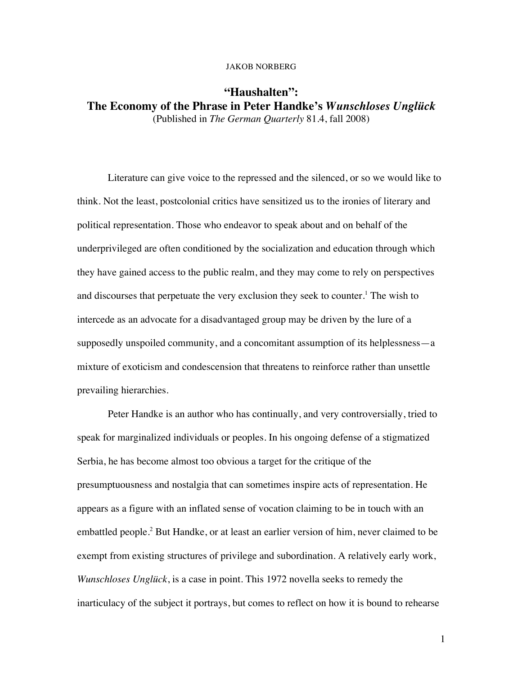#### JAKOB NORBERG

## **"Haushalten":**

## **The Economy of the Phrase in Peter Handke's** *Wunschloses Unglück* (Published in *The German Quarterly* 81.4, fall 2008)

Literature can give voice to the repressed and the silenced, or so we would like to think. Not the least, postcolonial critics have sensitized us to the ironies of literary and political representation. Those who endeavor to speak about and on behalf of the underprivileged are often conditioned by the socialization and education through which they have gained access to the public realm, and they may come to rely on perspectives and discourses that perpetuate the very exclusion they seek to counter.<sup>1</sup> The wish to intercede as an advocate for a disadvantaged group may be driven by the lure of a supposedly unspoiled community, and a concomitant assumption of its helplessness—a mixture of exoticism and condescension that threatens to reinforce rather than unsettle prevailing hierarchies.

Peter Handke is an author who has continually, and very controversially, tried to speak for marginalized individuals or peoples. In his ongoing defense of a stigmatized Serbia, he has become almost too obvious a target for the critique of the presumptuousness and nostalgia that can sometimes inspire acts of representation. He appears as a figure with an inflated sense of vocation claiming to be in touch with an embattled people.<sup>2</sup> But Handke, or at least an earlier version of him, never claimed to be exempt from existing structures of privilege and subordination. A relatively early work, *Wunschloses Unglück*, is a case in point. This 1972 novella seeks to remedy the inarticulacy of the subject it portrays, but comes to reflect on how it is bound to rehearse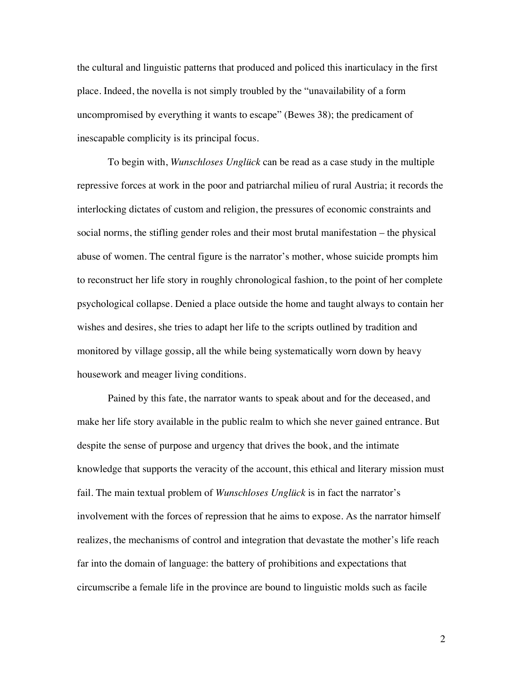the cultural and linguistic patterns that produced and policed this inarticulacy in the first place. Indeed, the novella is not simply troubled by the "unavailability of a form uncompromised by everything it wants to escape" (Bewes 38); the predicament of inescapable complicity is its principal focus.

To begin with, *Wunschloses Unglück* can be read as a case study in the multiple repressive forces at work in the poor and patriarchal milieu of rural Austria; it records the interlocking dictates of custom and religion, the pressures of economic constraints and social norms, the stifling gender roles and their most brutal manifestation – the physical abuse of women. The central figure is the narrator's mother, whose suicide prompts him to reconstruct her life story in roughly chronological fashion, to the point of her complete psychological collapse. Denied a place outside the home and taught always to contain her wishes and desires, she tries to adapt her life to the scripts outlined by tradition and monitored by village gossip, all the while being systematically worn down by heavy housework and meager living conditions.

Pained by this fate, the narrator wants to speak about and for the deceased, and make her life story available in the public realm to which she never gained entrance. But despite the sense of purpose and urgency that drives the book, and the intimate knowledge that supports the veracity of the account, this ethical and literary mission must fail. The main textual problem of *Wunschloses Unglück* is in fact the narrator's involvement with the forces of repression that he aims to expose. As the narrator himself realizes, the mechanisms of control and integration that devastate the mother's life reach far into the domain of language: the battery of prohibitions and expectations that circumscribe a female life in the province are bound to linguistic molds such as facile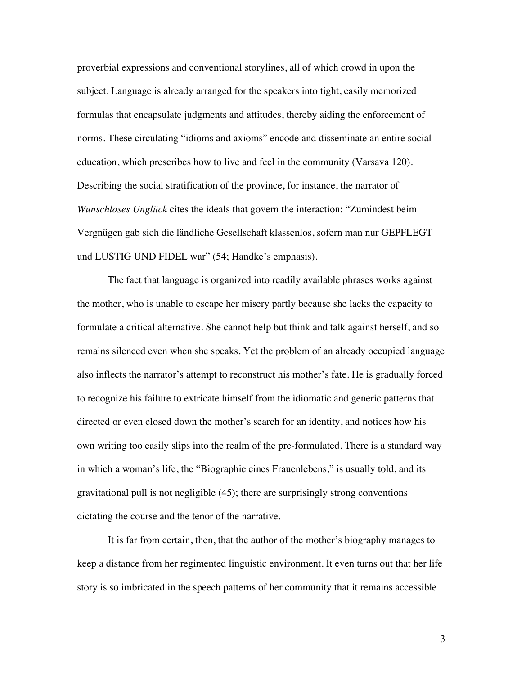proverbial expressions and conventional storylines, all of which crowd in upon the subject. Language is already arranged for the speakers into tight, easily memorized formulas that encapsulate judgments and attitudes, thereby aiding the enforcement of norms. These circulating "idioms and axioms" encode and disseminate an entire social education, which prescribes how to live and feel in the community (Varsava 120). Describing the social stratification of the province, for instance, the narrator of *Wunschloses Unglück* cites the ideals that govern the interaction: "Zumindest beim Vergnügen gab sich die ländliche Gesellschaft klassenlos, sofern man nur GEPFLEGT und LUSTIG UND FIDEL war" (54; Handke's emphasis).

The fact that language is organized into readily available phrases works against the mother, who is unable to escape her misery partly because she lacks the capacity to formulate a critical alternative. She cannot help but think and talk against herself, and so remains silenced even when she speaks. Yet the problem of an already occupied language also inflects the narrator's attempt to reconstruct his mother's fate. He is gradually forced to recognize his failure to extricate himself from the idiomatic and generic patterns that directed or even closed down the mother's search for an identity, and notices how his own writing too easily slips into the realm of the pre-formulated. There is a standard way in which a woman's life, the "Biographie eines Frauenlebens," is usually told, and its gravitational pull is not negligible (45); there are surprisingly strong conventions dictating the course and the tenor of the narrative.

It is far from certain, then, that the author of the mother's biography manages to keep a distance from her regimented linguistic environment. It even turns out that her life story is so imbricated in the speech patterns of her community that it remains accessible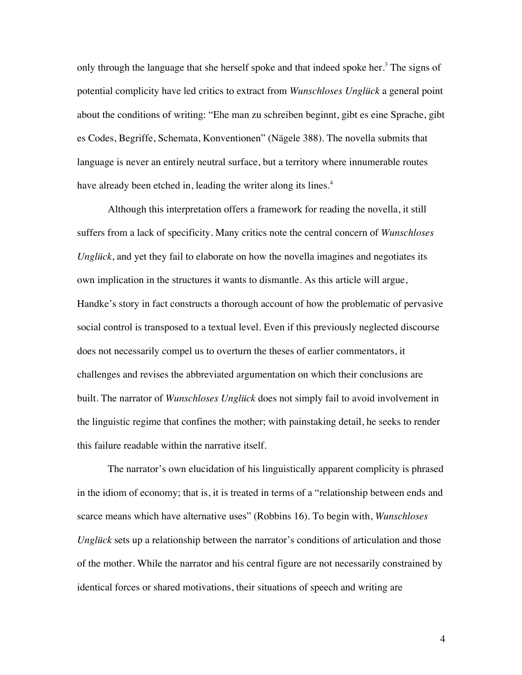only through the language that she herself spoke and that indeed spoke her.<sup>3</sup> The signs of potential complicity have led critics to extract from *Wunschloses Unglück* a general point about the conditions of writing: "Ehe man zu schreiben beginnt, gibt es eine Sprache, gibt es Codes, Begriffe, Schemata, Konventionen" (Nägele 388). The novella submits that language is never an entirely neutral surface, but a territory where innumerable routes have already been etched in, leading the writer along its lines.<sup>4</sup>

Although this interpretation offers a framework for reading the novella, it still suffers from a lack of specificity. Many critics note the central concern of *Wunschloses Unglück*, and yet they fail to elaborate on how the novella imagines and negotiates its own implication in the structures it wants to dismantle. As this article will argue, Handke's story in fact constructs a thorough account of how the problematic of pervasive social control is transposed to a textual level. Even if this previously neglected discourse does not necessarily compel us to overturn the theses of earlier commentators, it challenges and revises the abbreviated argumentation on which their conclusions are built. The narrator of *Wunschloses Unglück* does not simply fail to avoid involvement in the linguistic regime that confines the mother; with painstaking detail, he seeks to render this failure readable within the narrative itself.

The narrator's own elucidation of his linguistically apparent complicity is phrased in the idiom of economy; that is, it is treated in terms of a "relationship between ends and scarce means which have alternative uses" (Robbins 16). To begin with, *Wunschloses Unglück* sets up a relationship between the narrator's conditions of articulation and those of the mother. While the narrator and his central figure are not necessarily constrained by identical forces or shared motivations, their situations of speech and writing are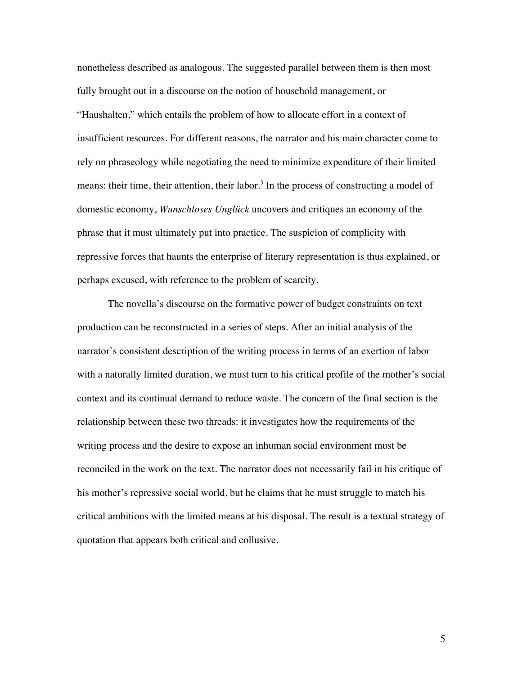nonetheless described as analogous. The suggested parallel between them is then most fully brought out in a discourse on the notion of household management, or "Haushalten," which entails the problem of how to allocate effort in a context of insufficient resources. For different reasons, the narrator and his main character come to rely on phraseology while negotiating the need to minimize expenditure of their limited means: their time, their attention, their labor.<sup>5</sup> In the process of constructing a model of domestic economy, *Wunschloses Unglück* uncovers and critiques an economy of the phrase that it must ultimately put into practice. The suspicion of complicity with repressive forces that haunts the enterprise of literary representation is thus explained, or perhaps excused, with reference to the problem of scarcity.

The novella's discourse on the formative power of budget constraints on text production can be reconstructed in a series of steps. After an initial analysis of the narrator's consistent description of the writing process in terms of an exertion of labor with a naturally limited duration, we must turn to his critical profile of the mother's social context and its continual demand to reduce waste. The concern of the final section is the relationship between these two threads: it investigates how the requirements of the writing process and the desire to expose an inhuman social environment must be reconciled in the work on the text. The narrator does not necessarily fail in his critique of his mother's repressive social world, but he claims that he must struggle to match his critical ambitions with the limited means at his disposal. The result is a textual strategy of quotation that appears both critical and collusive.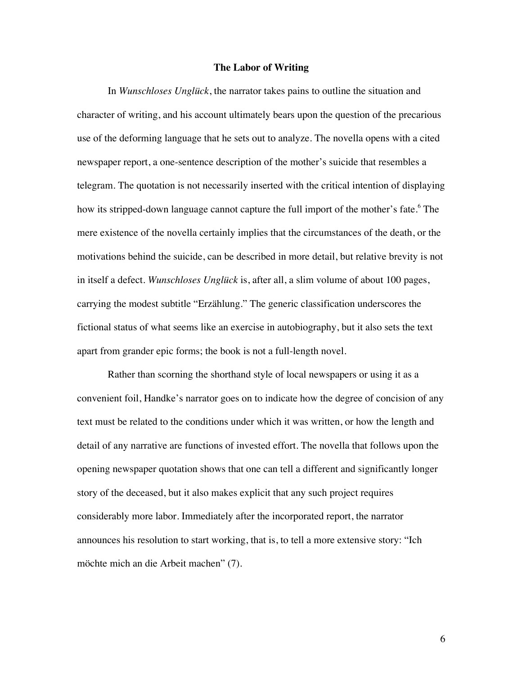#### **The Labor of Writing**

In *Wunschloses Unglück*, the narrator takes pains to outline the situation and character of writing, and his account ultimately bears upon the question of the precarious use of the deforming language that he sets out to analyze. The novella opens with a cited newspaper report, a one-sentence description of the mother's suicide that resembles a telegram. The quotation is not necessarily inserted with the critical intention of displaying how its stripped-down language cannot capture the full import of the mother's fate.<sup>6</sup> The mere existence of the novella certainly implies that the circumstances of the death, or the motivations behind the suicide, can be described in more detail, but relative brevity is not in itself a defect. *Wunschloses Unglück* is, after all, a slim volume of about 100 pages, carrying the modest subtitle "Erzählung." The generic classification underscores the fictional status of what seems like an exercise in autobiography, but it also sets the text apart from grander epic forms; the book is not a full-length novel.

Rather than scorning the shorthand style of local newspapers or using it as a convenient foil, Handke's narrator goes on to indicate how the degree of concision of any text must be related to the conditions under which it was written, or how the length and detail of any narrative are functions of invested effort. The novella that follows upon the opening newspaper quotation shows that one can tell a different and significantly longer story of the deceased, but it also makes explicit that any such project requires considerably more labor. Immediately after the incorporated report, the narrator announces his resolution to start working, that is, to tell a more extensive story: "Ich möchte mich an die Arbeit machen" (7).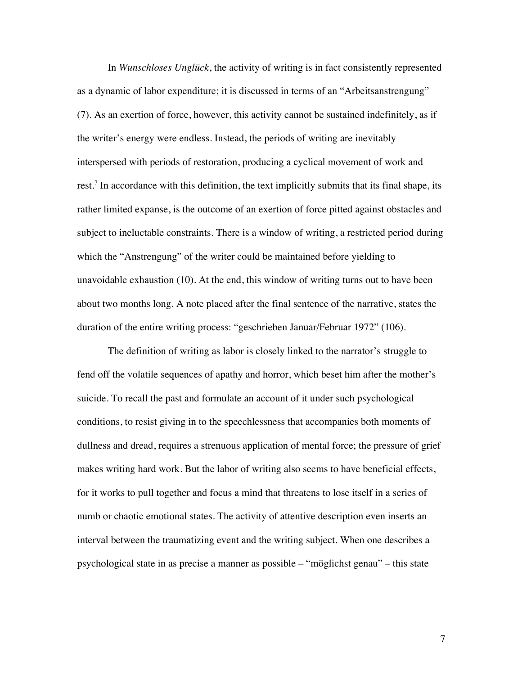In *Wunschloses Unglück*, the activity of writing is in fact consistently represented as a dynamic of labor expenditure; it is discussed in terms of an "Arbeitsanstrengung" (7). As an exertion of force, however, this activity cannot be sustained indefinitely, as if the writer's energy were endless. Instead, the periods of writing are inevitably interspersed with periods of restoration, producing a cyclical movement of work and rest.<sup>7</sup> In accordance with this definition, the text implicitly submits that its final shape, its rather limited expanse, is the outcome of an exertion of force pitted against obstacles and subject to ineluctable constraints. There is a window of writing, a restricted period during which the "Anstrengung" of the writer could be maintained before yielding to unavoidable exhaustion (10). At the end, this window of writing turns out to have been about two months long. A note placed after the final sentence of the narrative, states the duration of the entire writing process: "geschrieben Januar/Februar 1972" (106).

The definition of writing as labor is closely linked to the narrator's struggle to fend off the volatile sequences of apathy and horror, which beset him after the mother's suicide. To recall the past and formulate an account of it under such psychological conditions, to resist giving in to the speechlessness that accompanies both moments of dullness and dread, requires a strenuous application of mental force; the pressure of grief makes writing hard work. But the labor of writing also seems to have beneficial effects, for it works to pull together and focus a mind that threatens to lose itself in a series of numb or chaotic emotional states. The activity of attentive description even inserts an interval between the traumatizing event and the writing subject. When one describes a psychological state in as precise a manner as possible – "möglichst genau" – this state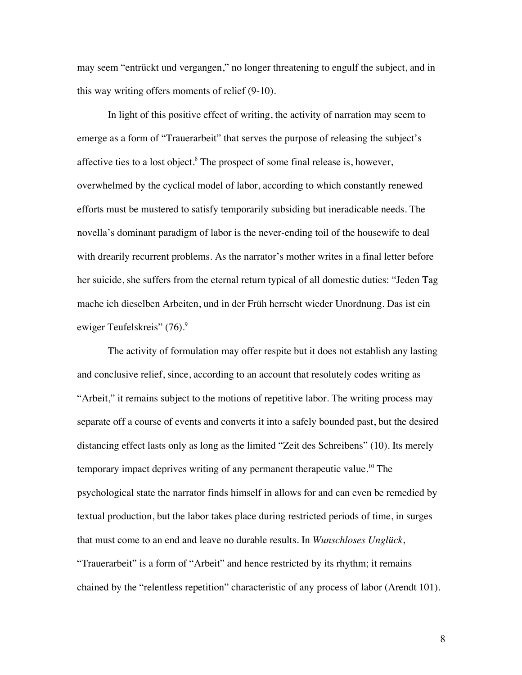may seem "entrückt und vergangen," no longer threatening to engulf the subject, and in this way writing offers moments of relief (9-10).

In light of this positive effect of writing, the activity of narration may seem to emerge as a form of "Trauerarbeit" that serves the purpose of releasing the subject's affective ties to a lost object.<sup>8</sup> The prospect of some final release is, however, overwhelmed by the cyclical model of labor, according to which constantly renewed efforts must be mustered to satisfy temporarily subsiding but ineradicable needs. The novella's dominant paradigm of labor is the never-ending toil of the housewife to deal with drearily recurrent problems. As the narrator's mother writes in a final letter before her suicide, she suffers from the eternal return typical of all domestic duties: "Jeden Tag mache ich dieselben Arbeiten, und in der Früh herrscht wieder Unordnung. Das ist ein ewiger Teufelskreis" (76).<sup>9</sup>

The activity of formulation may offer respite but it does not establish any lasting and conclusive relief, since, according to an account that resolutely codes writing as "Arbeit," it remains subject to the motions of repetitive labor. The writing process may separate off a course of events and converts it into a safely bounded past, but the desired distancing effect lasts only as long as the limited "Zeit des Schreibens" (10). Its merely temporary impact deprives writing of any permanent therapeutic value.<sup>10</sup> The psychological state the narrator finds himself in allows for and can even be remedied by textual production, but the labor takes place during restricted periods of time, in surges that must come to an end and leave no durable results. In *Wunschloses Unglück*,

"Trauerarbeit" is a form of "Arbeit" and hence restricted by its rhythm; it remains chained by the "relentless repetition" characteristic of any process of labor (Arendt 101).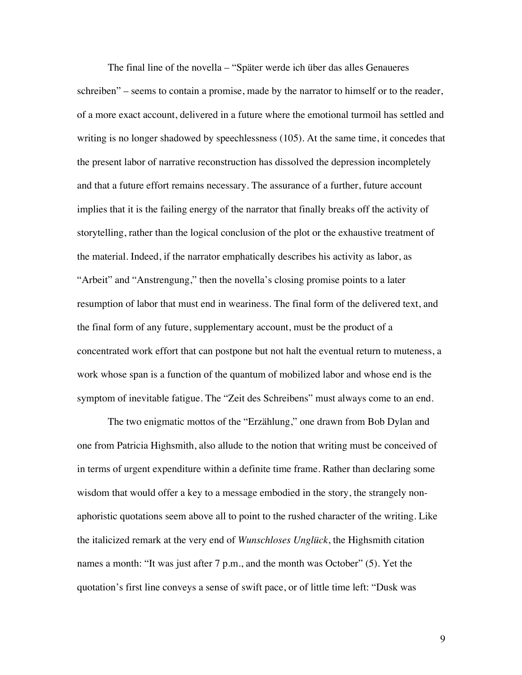The final line of the novella – "Später werde ich über das alles Genaueres schreiben" – seems to contain a promise, made by the narrator to himself or to the reader, of a more exact account, delivered in a future where the emotional turmoil has settled and writing is no longer shadowed by speechlessness (105). At the same time, it concedes that the present labor of narrative reconstruction has dissolved the depression incompletely and that a future effort remains necessary. The assurance of a further, future account implies that it is the failing energy of the narrator that finally breaks off the activity of storytelling, rather than the logical conclusion of the plot or the exhaustive treatment of the material. Indeed, if the narrator emphatically describes his activity as labor, as "Arbeit" and "Anstrengung," then the novella's closing promise points to a later resumption of labor that must end in weariness. The final form of the delivered text, and the final form of any future, supplementary account, must be the product of a concentrated work effort that can postpone but not halt the eventual return to muteness, a work whose span is a function of the quantum of mobilized labor and whose end is the symptom of inevitable fatigue. The "Zeit des Schreibens" must always come to an end.

The two enigmatic mottos of the "Erzählung," one drawn from Bob Dylan and one from Patricia Highsmith, also allude to the notion that writing must be conceived of in terms of urgent expenditure within a definite time frame. Rather than declaring some wisdom that would offer a key to a message embodied in the story, the strangely nonaphoristic quotations seem above all to point to the rushed character of the writing. Like the italicized remark at the very end of *Wunschloses Unglück*, the Highsmith citation names a month: "It was just after 7 p.m., and the month was October" (5). Yet the quotation's first line conveys a sense of swift pace, or of little time left: "Dusk was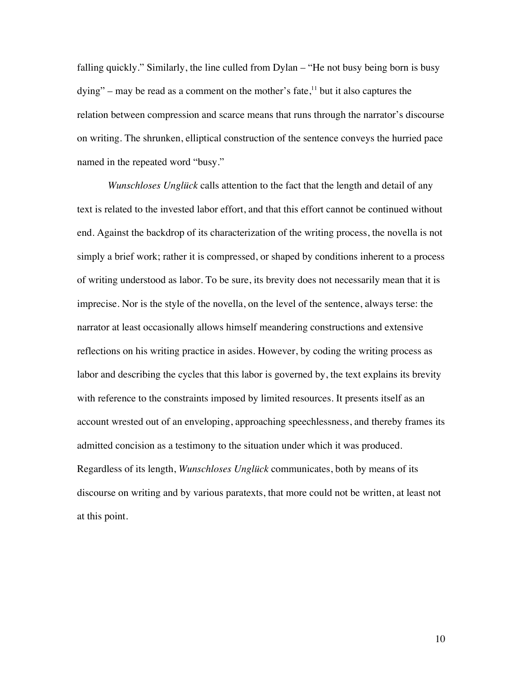falling quickly." Similarly, the line culled from Dylan – "He not busy being born is busy  $\gamma$  – may be read as a comment on the mother's fate,<sup>11</sup> but it also captures the relation between compression and scarce means that runs through the narrator's discourse on writing. The shrunken, elliptical construction of the sentence conveys the hurried pace named in the repeated word "busy."

*Wunschloses Unglück* calls attention to the fact that the length and detail of any text is related to the invested labor effort, and that this effort cannot be continued without end. Against the backdrop of its characterization of the writing process, the novella is not simply a brief work; rather it is compressed, or shaped by conditions inherent to a process of writing understood as labor. To be sure, its brevity does not necessarily mean that it is imprecise. Nor is the style of the novella, on the level of the sentence, always terse: the narrator at least occasionally allows himself meandering constructions and extensive reflections on his writing practice in asides. However, by coding the writing process as labor and describing the cycles that this labor is governed by, the text explains its brevity with reference to the constraints imposed by limited resources. It presents itself as an account wrested out of an enveloping, approaching speechlessness, and thereby frames its admitted concision as a testimony to the situation under which it was produced. Regardless of its length, *Wunschloses Unglück* communicates, both by means of its discourse on writing and by various paratexts, that more could not be written, at least not at this point.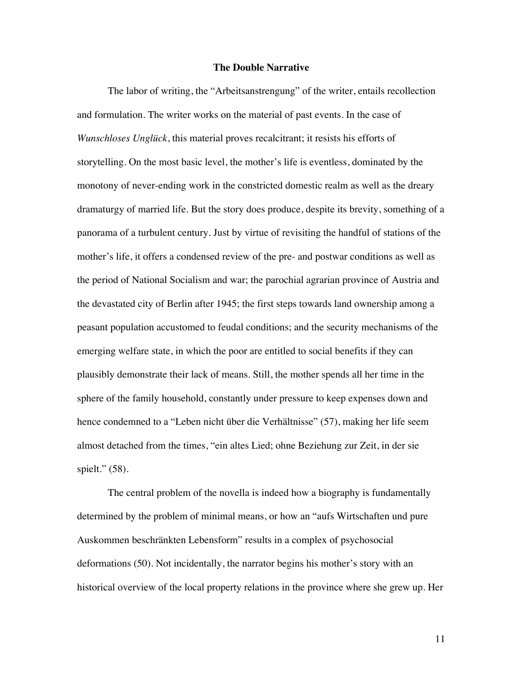## **The Double Narrative**

The labor of writing, the "Arbeitsanstrengung" of the writer, entails recollection and formulation. The writer works on the material of past events. In the case of *Wunschloses Unglück*, this material proves recalcitrant; it resists his efforts of storytelling. On the most basic level, the mother's life is eventless, dominated by the monotony of never-ending work in the constricted domestic realm as well as the dreary dramaturgy of married life. But the story does produce, despite its brevity, something of a panorama of a turbulent century. Just by virtue of revisiting the handful of stations of the mother's life, it offers a condensed review of the pre- and postwar conditions as well as the period of National Socialism and war; the parochial agrarian province of Austria and the devastated city of Berlin after 1945; the first steps towards land ownership among a peasant population accustomed to feudal conditions; and the security mechanisms of the emerging welfare state, in which the poor are entitled to social benefits if they can plausibly demonstrate their lack of means. Still, the mother spends all her time in the sphere of the family household, constantly under pressure to keep expenses down and hence condemned to a "Leben nicht über die Verhältnisse" (57), making her life seem almost detached from the times, "ein altes Lied; ohne Beziehung zur Zeit, in der sie spielt." (58).

The central problem of the novella is indeed how a biography is fundamentally determined by the problem of minimal means, or how an "aufs Wirtschaften und pure Auskommen beschränkten Lebensform" results in a complex of psychosocial deformations (50). Not incidentally, the narrator begins his mother's story with an historical overview of the local property relations in the province where she grew up. Her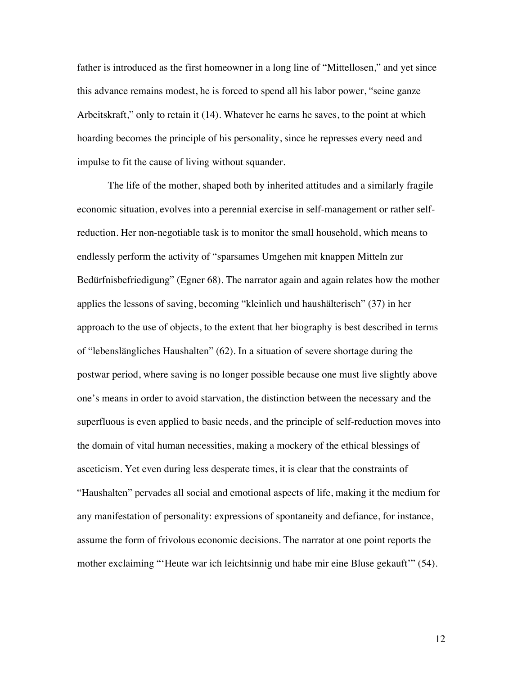father is introduced as the first homeowner in a long line of "Mittellosen," and yet since this advance remains modest, he is forced to spend all his labor power, "seine ganze Arbeitskraft," only to retain it (14). Whatever he earns he saves, to the point at which hoarding becomes the principle of his personality, since he represses every need and impulse to fit the cause of living without squander.

The life of the mother, shaped both by inherited attitudes and a similarly fragile economic situation, evolves into a perennial exercise in self-management or rather selfreduction. Her non-negotiable task is to monitor the small household, which means to endlessly perform the activity of "sparsames Umgehen mit knappen Mitteln zur Bedürfnisbefriedigung" (Egner 68). The narrator again and again relates how the mother applies the lessons of saving, becoming "kleinlich und haushälterisch" (37) in her approach to the use of objects, to the extent that her biography is best described in terms of "lebenslängliches Haushalten" (62). In a situation of severe shortage during the postwar period, where saving is no longer possible because one must live slightly above one's means in order to avoid starvation, the distinction between the necessary and the superfluous is even applied to basic needs, and the principle of self-reduction moves into the domain of vital human necessities, making a mockery of the ethical blessings of asceticism. Yet even during less desperate times, it is clear that the constraints of "Haushalten" pervades all social and emotional aspects of life, making it the medium for any manifestation of personality: expressions of spontaneity and defiance, for instance, assume the form of frivolous economic decisions. The narrator at one point reports the mother exclaiming "'Heute war ich leichtsinnig und habe mir eine Bluse gekauft'" (54).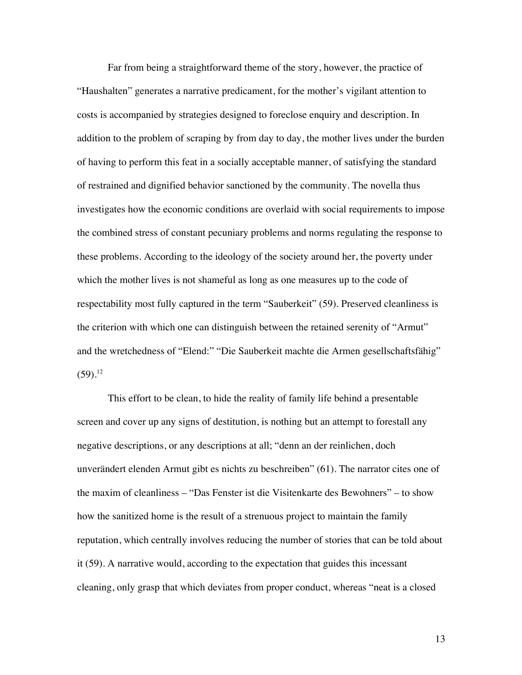Far from being a straightforward theme of the story, however, the practice of "Haushalten" generates a narrative predicament, for the mother's vigilant attention to costs is accompanied by strategies designed to foreclose enquiry and description. In addition to the problem of scraping by from day to day, the mother lives under the burden of having to perform this feat in a socially acceptable manner, of satisfying the standard of restrained and dignified behavior sanctioned by the community. The novella thus investigates how the economic conditions are overlaid with social requirements to impose the combined stress of constant pecuniary problems and norms regulating the response to these problems. According to the ideology of the society around her, the poverty under which the mother lives is not shameful as long as one measures up to the code of respectability most fully captured in the term "Sauberkeit" (59). Preserved cleanliness is the criterion with which one can distinguish between the retained serenity of "Armut" and the wretchedness of "Elend:" "Die Sauberkeit machte die Armen gesellschaftsfähig"  $(59).^{12}$ 

This effort to be clean, to hide the reality of family life behind a presentable screen and cover up any signs of destitution, is nothing but an attempt to forestall any negative descriptions, or any descriptions at all; "denn an der reinlichen, doch unverändert elenden Armut gibt es nichts zu beschreiben" (61). The narrator cites one of the maxim of cleanliness – "Das Fenster ist die Visitenkarte des Bewohners" – to show how the sanitized home is the result of a strenuous project to maintain the family reputation, which centrally involves reducing the number of stories that can be told about it (59). A narrative would, according to the expectation that guides this incessant cleaning, only grasp that which deviates from proper conduct, whereas "neat is a closed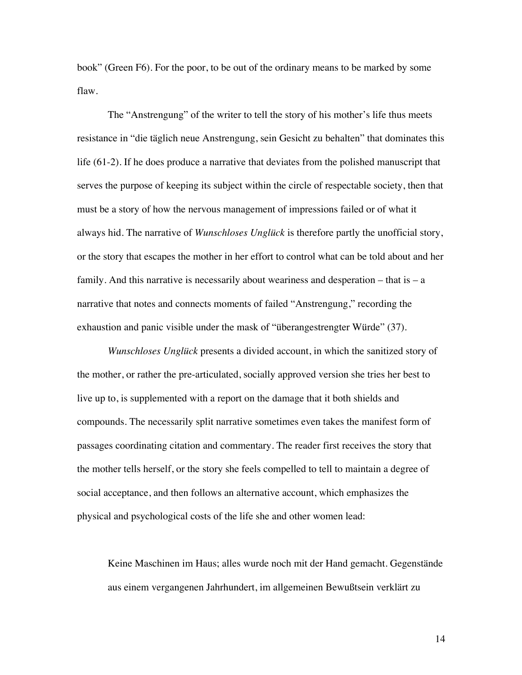book" (Green F6). For the poor, to be out of the ordinary means to be marked by some flaw.

The "Anstrengung" of the writer to tell the story of his mother's life thus meets resistance in "die täglich neue Anstrengung, sein Gesicht zu behalten" that dominates this life (61-2). If he does produce a narrative that deviates from the polished manuscript that serves the purpose of keeping its subject within the circle of respectable society, then that must be a story of how the nervous management of impressions failed or of what it always hid. The narrative of *Wunschloses Unglück* is therefore partly the unofficial story, or the story that escapes the mother in her effort to control what can be told about and her family. And this narrative is necessarily about weariness and desperation – that is  $-a$ narrative that notes and connects moments of failed "Anstrengung," recording the exhaustion and panic visible under the mask of "überangestrengter Würde" (37).

*Wunschloses Unglück* presents a divided account, in which the sanitized story of the mother, or rather the pre-articulated, socially approved version she tries her best to live up to, is supplemented with a report on the damage that it both shields and compounds. The necessarily split narrative sometimes even takes the manifest form of passages coordinating citation and commentary. The reader first receives the story that the mother tells herself, or the story she feels compelled to tell to maintain a degree of social acceptance, and then follows an alternative account, which emphasizes the physical and psychological costs of the life she and other women lead:

Keine Maschinen im Haus; alles wurde noch mit der Hand gemacht. Gegenstände aus einem vergangenen Jahrhundert, im allgemeinen Bewußtsein verklärt zu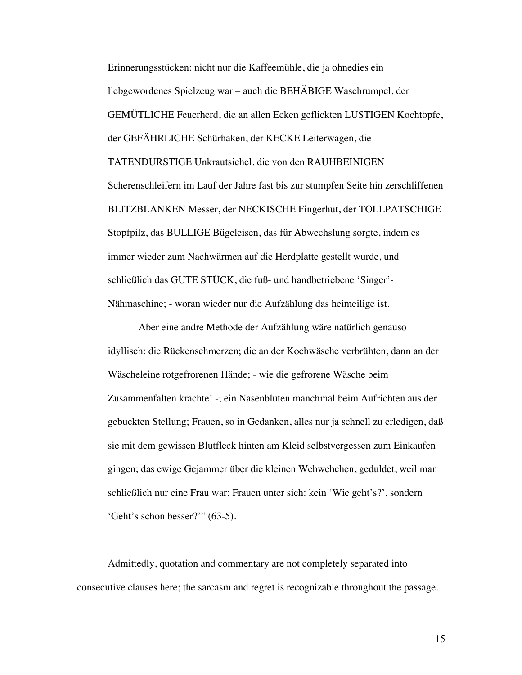Erinnerungsstücken: nicht nur die Kaffeemühle, die ja ohnedies ein liebgewordenes Spielzeug war – auch die BEHÄBIGE Waschrumpel, der GEMÜTLICHE Feuerherd, die an allen Ecken geflickten LUSTIGEN Kochtöpfe, der GEFÄHRLICHE Schürhaken, der KECKE Leiterwagen, die TATENDURSTIGE Unkrautsichel, die von den RAUHBEINIGEN Scherenschleifern im Lauf der Jahre fast bis zur stumpfen Seite hin zerschliffenen BLITZBLANKEN Messer, der NECKISCHE Fingerhut, der TOLLPATSCHIGE Stopfpilz, das BULLIGE Bügeleisen, das für Abwechslung sorgte, indem es immer wieder zum Nachwärmen auf die Herdplatte gestellt wurde, und schließlich das GUTE STÜCK, die fuß- und handbetriebene 'Singer'- Nähmaschine; - woran wieder nur die Aufzählung das heimeilige ist.

Aber eine andre Methode der Aufzählung wäre natürlich genauso idyllisch: die Rückenschmerzen; die an der Kochwäsche verbrühten, dann an der Wäscheleine rotgefrorenen Hände; - wie die gefrorene Wäsche beim Zusammenfalten krachte! -; ein Nasenbluten manchmal beim Aufrichten aus der gebückten Stellung; Frauen, so in Gedanken, alles nur ja schnell zu erledigen, daß sie mit dem gewissen Blutfleck hinten am Kleid selbstvergessen zum Einkaufen gingen; das ewige Gejammer über die kleinen Wehwehchen, geduldet, weil man schließlich nur eine Frau war; Frauen unter sich: kein 'Wie geht's?', sondern 'Geht's schon besser?'" (63-5).

Admittedly, quotation and commentary are not completely separated into consecutive clauses here; the sarcasm and regret is recognizable throughout the passage.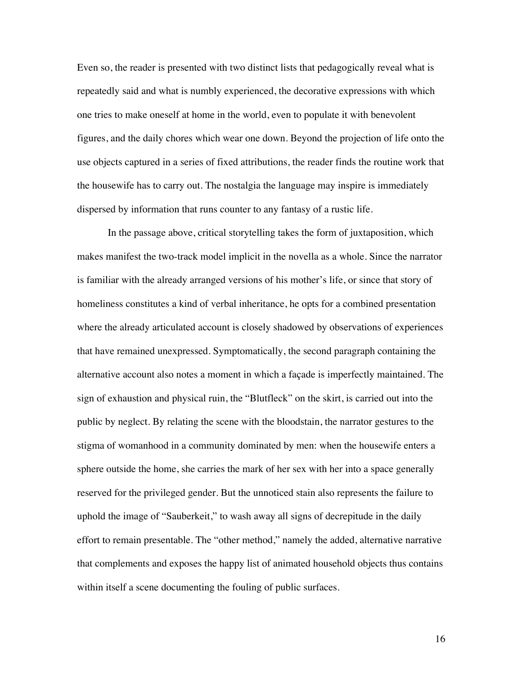Even so, the reader is presented with two distinct lists that pedagogically reveal what is repeatedly said and what is numbly experienced, the decorative expressions with which one tries to make oneself at home in the world, even to populate it with benevolent figures, and the daily chores which wear one down. Beyond the projection of life onto the use objects captured in a series of fixed attributions, the reader finds the routine work that the housewife has to carry out. The nostalgia the language may inspire is immediately dispersed by information that runs counter to any fantasy of a rustic life.

In the passage above, critical storytelling takes the form of juxtaposition, which makes manifest the two-track model implicit in the novella as a whole. Since the narrator is familiar with the already arranged versions of his mother's life, or since that story of homeliness constitutes a kind of verbal inheritance, he opts for a combined presentation where the already articulated account is closely shadowed by observations of experiences that have remained unexpressed. Symptomatically, the second paragraph containing the alternative account also notes a moment in which a façade is imperfectly maintained. The sign of exhaustion and physical ruin, the "Blutfleck" on the skirt, is carried out into the public by neglect. By relating the scene with the bloodstain, the narrator gestures to the stigma of womanhood in a community dominated by men: when the housewife enters a sphere outside the home, she carries the mark of her sex with her into a space generally reserved for the privileged gender. But the unnoticed stain also represents the failure to uphold the image of "Sauberkeit," to wash away all signs of decrepitude in the daily effort to remain presentable. The "other method," namely the added, alternative narrative that complements and exposes the happy list of animated household objects thus contains within itself a scene documenting the fouling of public surfaces.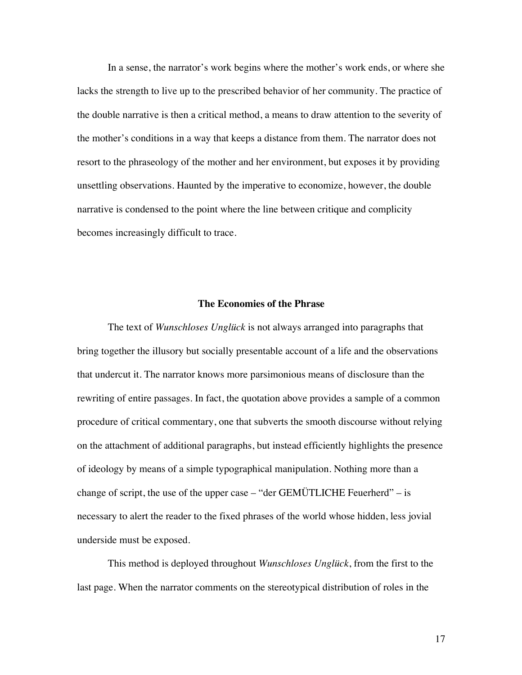In a sense, the narrator's work begins where the mother's work ends, or where she lacks the strength to live up to the prescribed behavior of her community. The practice of the double narrative is then a critical method, a means to draw attention to the severity of the mother's conditions in a way that keeps a distance from them. The narrator does not resort to the phraseology of the mother and her environment, but exposes it by providing unsettling observations. Haunted by the imperative to economize, however, the double narrative is condensed to the point where the line between critique and complicity becomes increasingly difficult to trace.

#### **The Economies of the Phrase**

The text of *Wunschloses Unglück* is not always arranged into paragraphs that bring together the illusory but socially presentable account of a life and the observations that undercut it. The narrator knows more parsimonious means of disclosure than the rewriting of entire passages. In fact, the quotation above provides a sample of a common procedure of critical commentary, one that subverts the smooth discourse without relying on the attachment of additional paragraphs, but instead efficiently highlights the presence of ideology by means of a simple typographical manipulation. Nothing more than a change of script, the use of the upper case – "der GEMÜTLICHE Feuerherd" – is necessary to alert the reader to the fixed phrases of the world whose hidden, less jovial underside must be exposed.

This method is deployed throughout *Wunschloses Unglück*, from the first to the last page. When the narrator comments on the stereotypical distribution of roles in the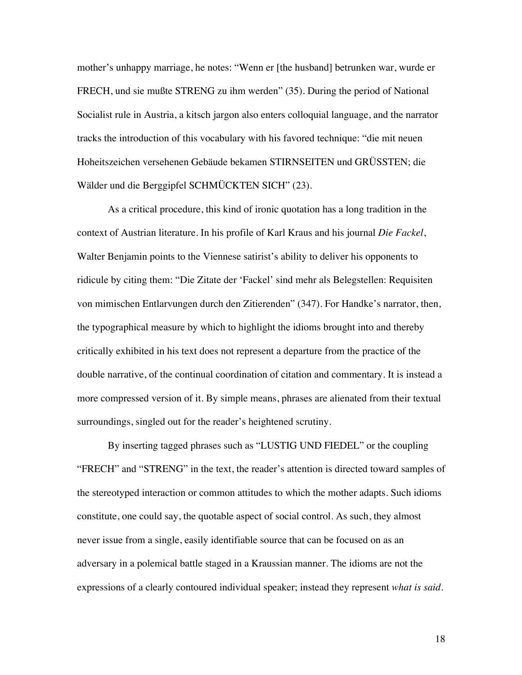mother's unhappy marriage, he notes: "Wenn er [the husband] betrunken war, wurde er FRECH, und sie mußte STRENG zu ihm werden" (35). During the period of National Socialist rule in Austria, a kitsch jargon also enters colloquial language, and the narrator tracks the introduction of this vocabulary with his favored technique: "die mit neuen Hoheitszeichen versehenen Gebäude bekamen STIRNSEITEN und GRÜSSTEN; die Wälder und die Berggipfel SCHMÜCKTEN SICH" (23).

As a critical procedure, this kind of ironic quotation has a long tradition in the context of Austrian literature. In his profile of Karl Kraus and his journal *Die Fackel*, Walter Benjamin points to the Viennese satirist's ability to deliver his opponents to ridicule by citing them: "Die Zitate der 'Fackel' sind mehr als Belegstellen: Requisiten von mimischen Entlarvungen durch den Zitierenden" (347). For Handke's narrator, then, the typographical measure by which to highlight the idioms brought into and thereby critically exhibited in his text does not represent a departure from the practice of the double narrative, of the continual coordination of citation and commentary. It is instead a more compressed version of it. By simple means, phrases are alienated from their textual surroundings, singled out for the reader's heightened scrutiny.

By inserting tagged phrases such as "LUSTIG UND FIEDEL" or the coupling "FRECH" and "STRENG" in the text, the reader's attention is directed toward samples of the stereotyped interaction or common attitudes to which the mother adapts. Such idioms constitute, one could say, the quotable aspect of social control. As such, they almost never issue from a single, easily identifiable source that can be focused on as an adversary in a polemical battle staged in a Kraussian manner. The idioms are not the expressions of a clearly contoured individual speaker; instead they represent *what is said*.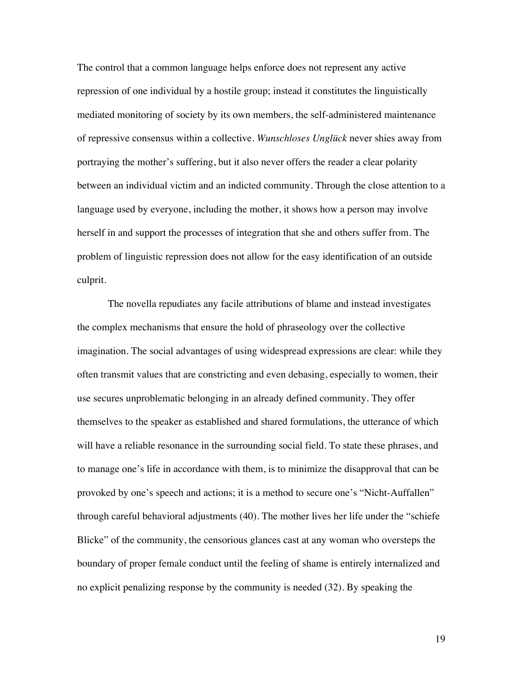The control that a common language helps enforce does not represent any active repression of one individual by a hostile group; instead it constitutes the linguistically mediated monitoring of society by its own members, the self-administered maintenance of repressive consensus within a collective. *Wunschloses Unglück* never shies away from portraying the mother's suffering, but it also never offers the reader a clear polarity between an individual victim and an indicted community. Through the close attention to a language used by everyone, including the mother, it shows how a person may involve herself in and support the processes of integration that she and others suffer from. The problem of linguistic repression does not allow for the easy identification of an outside culprit.

The novella repudiates any facile attributions of blame and instead investigates the complex mechanisms that ensure the hold of phraseology over the collective imagination. The social advantages of using widespread expressions are clear: while they often transmit values that are constricting and even debasing, especially to women, their use secures unproblematic belonging in an already defined community. They offer themselves to the speaker as established and shared formulations, the utterance of which will have a reliable resonance in the surrounding social field. To state these phrases, and to manage one's life in accordance with them, is to minimize the disapproval that can be provoked by one's speech and actions; it is a method to secure one's "Nicht-Auffallen" through careful behavioral adjustments (40). The mother lives her life under the "schiefe Blicke" of the community, the censorious glances cast at any woman who oversteps the boundary of proper female conduct until the feeling of shame is entirely internalized and no explicit penalizing response by the community is needed (32). By speaking the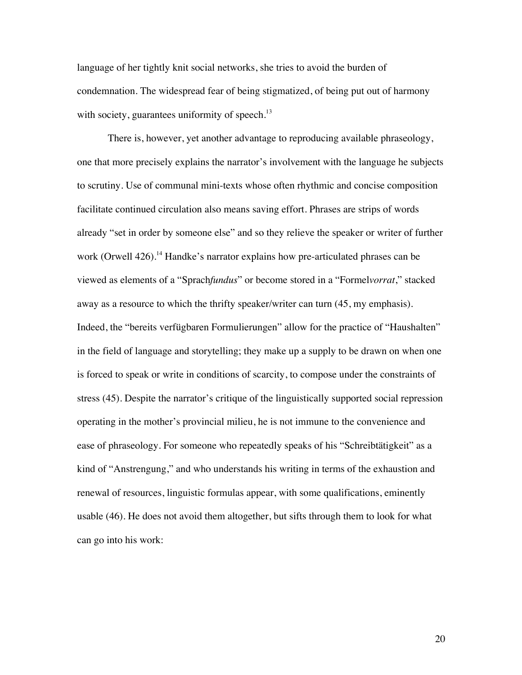language of her tightly knit social networks, she tries to avoid the burden of condemnation. The widespread fear of being stigmatized, of being put out of harmony with society, guarantees uniformity of speech. $^{13}$ 

There is, however, yet another advantage to reproducing available phraseology, one that more precisely explains the narrator's involvement with the language he subjects to scrutiny. Use of communal mini-texts whose often rhythmic and concise composition facilitate continued circulation also means saving effort. Phrases are strips of words already "set in order by someone else" and so they relieve the speaker or writer of further work (Orwell 426).<sup>14</sup> Handke's narrator explains how pre-articulated phrases can be viewed as elements of a "Sprach*fundus*" or become stored in a "Formel*vorrat*," stacked away as a resource to which the thrifty speaker/writer can turn (45, my emphasis). Indeed, the "bereits verfügbaren Formulierungen" allow for the practice of "Haushalten" in the field of language and storytelling; they make up a supply to be drawn on when one is forced to speak or write in conditions of scarcity, to compose under the constraints of stress (45). Despite the narrator's critique of the linguistically supported social repression operating in the mother's provincial milieu, he is not immune to the convenience and ease of phraseology. For someone who repeatedly speaks of his "Schreibtätigkeit" as a kind of "Anstrengung," and who understands his writing in terms of the exhaustion and renewal of resources, linguistic formulas appear, with some qualifications, eminently usable (46). He does not avoid them altogether, but sifts through them to look for what can go into his work: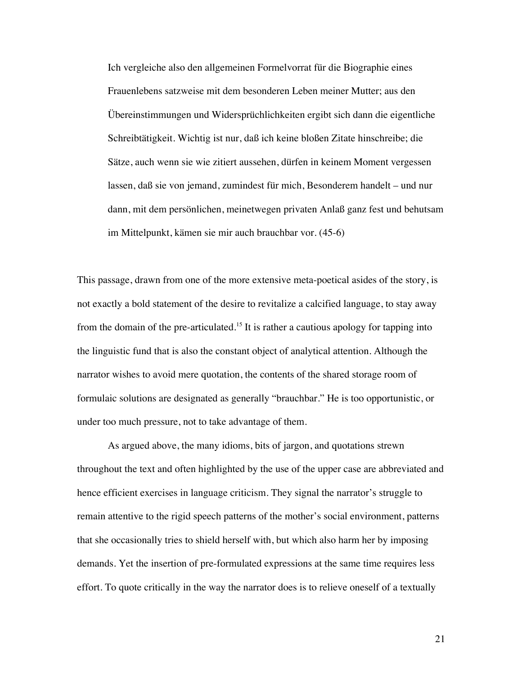Ich vergleiche also den allgemeinen Formelvorrat für die Biographie eines Frauenlebens satzweise mit dem besonderen Leben meiner Mutter; aus den Übereinstimmungen und Widersprüchlichkeiten ergibt sich dann die eigentliche Schreibtätigkeit. Wichtig ist nur, daß ich keine bloßen Zitate hinschreibe; die Sätze, auch wenn sie wie zitiert aussehen, dürfen in keinem Moment vergessen lassen, daß sie von jemand, zumindest für mich, Besonderem handelt – und nur dann, mit dem persönlichen, meinetwegen privaten Anlaß ganz fest und behutsam im Mittelpunkt, kämen sie mir auch brauchbar vor. (45-6)

This passage, drawn from one of the more extensive meta-poetical asides of the story, is not exactly a bold statement of the desire to revitalize a calcified language, to stay away from the domain of the pre-articulated.<sup>15</sup> It is rather a cautious apology for tapping into the linguistic fund that is also the constant object of analytical attention. Although the narrator wishes to avoid mere quotation, the contents of the shared storage room of formulaic solutions are designated as generally "brauchbar." He is too opportunistic, or under too much pressure, not to take advantage of them.

As argued above, the many idioms, bits of jargon, and quotations strewn throughout the text and often highlighted by the use of the upper case are abbreviated and hence efficient exercises in language criticism. They signal the narrator's struggle to remain attentive to the rigid speech patterns of the mother's social environment, patterns that she occasionally tries to shield herself with, but which also harm her by imposing demands. Yet the insertion of pre-formulated expressions at the same time requires less effort. To quote critically in the way the narrator does is to relieve oneself of a textually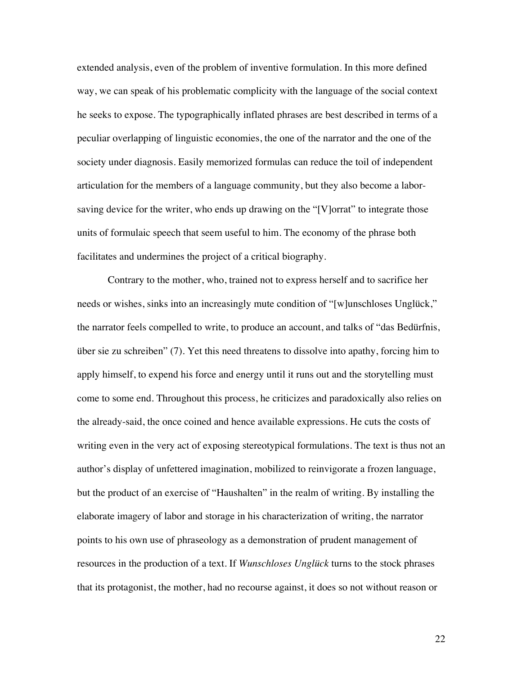extended analysis, even of the problem of inventive formulation. In this more defined way, we can speak of his problematic complicity with the language of the social context he seeks to expose. The typographically inflated phrases are best described in terms of a peculiar overlapping of linguistic economies, the one of the narrator and the one of the society under diagnosis. Easily memorized formulas can reduce the toil of independent articulation for the members of a language community, but they also become a laborsaving device for the writer, who ends up drawing on the "[V]orrat" to integrate those units of formulaic speech that seem useful to him. The economy of the phrase both facilitates and undermines the project of a critical biography.

Contrary to the mother, who, trained not to express herself and to sacrifice her needs or wishes, sinks into an increasingly mute condition of "[w]unschloses Unglück," the narrator feels compelled to write, to produce an account, and talks of "das Bedürfnis, über sie zu schreiben" (7). Yet this need threatens to dissolve into apathy, forcing him to apply himself, to expend his force and energy until it runs out and the storytelling must come to some end. Throughout this process, he criticizes and paradoxically also relies on the already-said, the once coined and hence available expressions. He cuts the costs of writing even in the very act of exposing stereotypical formulations. The text is thus not an author's display of unfettered imagination, mobilized to reinvigorate a frozen language, but the product of an exercise of "Haushalten" in the realm of writing. By installing the elaborate imagery of labor and storage in his characterization of writing, the narrator points to his own use of phraseology as a demonstration of prudent management of resources in the production of a text. If *Wunschloses Unglück* turns to the stock phrases that its protagonist, the mother, had no recourse against, it does so not without reason or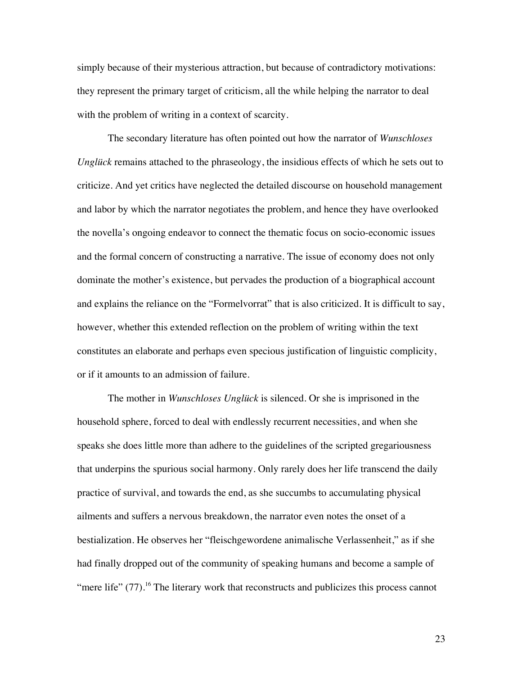simply because of their mysterious attraction, but because of contradictory motivations: they represent the primary target of criticism, all the while helping the narrator to deal with the problem of writing in a context of scarcity.

The secondary literature has often pointed out how the narrator of *Wunschloses Unglück* remains attached to the phraseology, the insidious effects of which he sets out to criticize. And yet critics have neglected the detailed discourse on household management and labor by which the narrator negotiates the problem, and hence they have overlooked the novella's ongoing endeavor to connect the thematic focus on socio-economic issues and the formal concern of constructing a narrative. The issue of economy does not only dominate the mother's existence, but pervades the production of a biographical account and explains the reliance on the "Formelvorrat" that is also criticized. It is difficult to say, however, whether this extended reflection on the problem of writing within the text constitutes an elaborate and perhaps even specious justification of linguistic complicity, or if it amounts to an admission of failure.

The mother in *Wunschloses Unglück* is silenced. Or she is imprisoned in the household sphere, forced to deal with endlessly recurrent necessities, and when she speaks she does little more than adhere to the guidelines of the scripted gregariousness that underpins the spurious social harmony. Only rarely does her life transcend the daily practice of survival, and towards the end, as she succumbs to accumulating physical ailments and suffers a nervous breakdown, the narrator even notes the onset of a bestialization. He observes her "fleischgewordene animalische Verlassenheit," as if she had finally dropped out of the community of speaking humans and become a sample of "mere life"  $(77)$ <sup>16</sup>. The literary work that reconstructs and publicizes this process cannot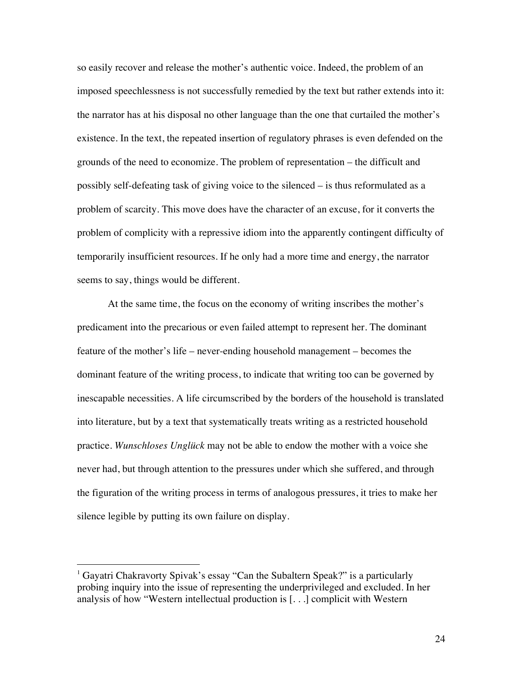so easily recover and release the mother's authentic voice. Indeed, the problem of an imposed speechlessness is not successfully remedied by the text but rather extends into it: the narrator has at his disposal no other language than the one that curtailed the mother's existence. In the text, the repeated insertion of regulatory phrases is even defended on the grounds of the need to economize. The problem of representation – the difficult and possibly self-defeating task of giving voice to the silenced – is thus reformulated as a problem of scarcity. This move does have the character of an excuse, for it converts the problem of complicity with a repressive idiom into the apparently contingent difficulty of temporarily insufficient resources. If he only had a more time and energy, the narrator seems to say, things would be different.

At the same time, the focus on the economy of writing inscribes the mother's predicament into the precarious or even failed attempt to represent her. The dominant feature of the mother's life – never-ending household management – becomes the dominant feature of the writing process, to indicate that writing too can be governed by inescapable necessities. A life circumscribed by the borders of the household is translated into literature, but by a text that systematically treats writing as a restricted household practice. *Wunschloses Unglück* may not be able to endow the mother with a voice she never had, but through attention to the pressures under which she suffered, and through the figuration of the writing process in terms of analogous pressures, it tries to make her silence legible by putting its own failure on display.

<sup>&</sup>lt;sup>1</sup> Gayatri Chakravorty Spivak's essay "Can the Subaltern Speak?" is a particularly probing inquiry into the issue of representing the underprivileged and excluded. In her analysis of how "Western intellectual production is [. . .] complicit with Western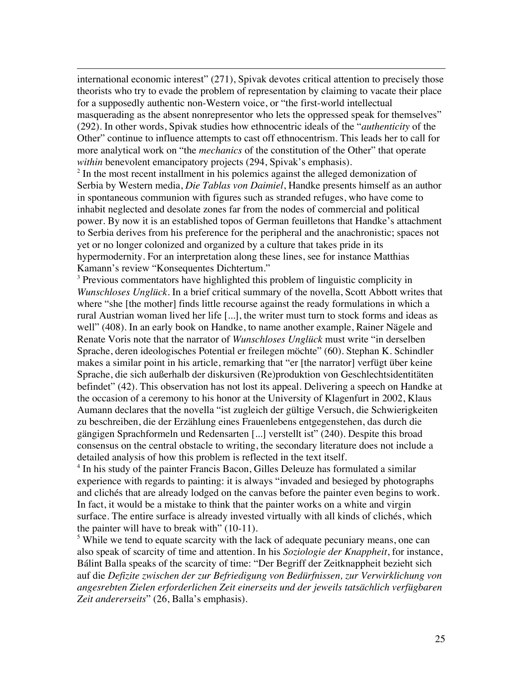international economic interest" (271), Spivak devotes critical attention to precisely those theorists who try to evade the problem of representation by claiming to vacate their place for a supposedly authentic non-Western voice, or "the first-world intellectual masquerading as the absent nonrepresentor who lets the oppressed speak for themselves" (292). In other words, Spivak studies how ethnocentric ideals of the "*authenticity* of the Other" continue to influence attempts to cast off ethnocentrism. This leads her to call for more analytical work on "the *mechanics* of the constitution of the Other" that operate *within* benevolent emancipatory projects (294, Spivak's emphasis).

 $\overline{a}$ 

 $2<sup>2</sup>$  In the most recent installment in his polemics against the alleged demonization of Serbia by Western media, *Die Tablas von Daimiel*, Handke presents himself as an author in spontaneous communion with figures such as stranded refuges, who have come to inhabit neglected and desolate zones far from the nodes of commercial and political power. By now it is an established topos of German feuilletons that Handke's attachment to Serbia derives from his preference for the peripheral and the anachronistic; spaces not yet or no longer colonized and organized by a culture that takes pride in its hypermodernity. For an interpretation along these lines, see for instance Matthias Kamann's review "Konsequentes Dichtertum."

<sup>3</sup> Previous commentators have highlighted this problem of linguistic complicity in *Wunschloses Unglück*. In a brief critical summary of the novella, Scott Abbott writes that where "she [the mother] finds little recourse against the ready formulations in which a rural Austrian woman lived her life [...], the writer must turn to stock forms and ideas as well" (408). In an early book on Handke, to name another example, Rainer Nägele and Renate Voris note that the narrator of *Wunschloses Unglück* must write "in derselben Sprache, deren ideologisches Potential er freilegen möchte" (60). Stephan K. Schindler makes a similar point in his article, remarking that "er [the narrator] verfügt über keine Sprache, die sich außerhalb der diskursiven (Re)produktion von Geschlechtsidentitäten befindet" (42). This observation has not lost its appeal. Delivering a speech on Handke at the occasion of a ceremony to his honor at the University of Klagenfurt in 2002, Klaus Aumann declares that the novella "ist zugleich der gültige Versuch, die Schwierigkeiten zu beschreiben, die der Erzählung eines Frauenlebens entgegenstehen, das durch die gängigen Sprachformeln und Redensarten [...] verstellt ist" (240). Despite this broad consensus on the central obstacle to writing, the secondary literature does not include a detailed analysis of how this problem is reflected in the text itself.<br><sup>4</sup> In his study of the painter Francis Bacon, Gilles Deleuze has formulated a similar

experience with regards to painting: it is always "invaded and besieged by photographs and clichés that are already lodged on the canvas before the painter even begins to work. In fact, it would be a mistake to think that the painter works on a white and virgin surface. The entire surface is already invested virtually with all kinds of clichés, which the painter will have to break with" (10-11).

<sup>5</sup> While we tend to equate scarcity with the lack of adequate pecuniary means, one can also speak of scarcity of time and attention. In his *Soziologie der Knappheit*, for instance, Bálint Balla speaks of the scarcity of time: "Der Begriff der Zeitknappheit bezieht sich auf die *Defizite zwischen der zur Befriedigung von Bedürfnissen, zur Verwirklichung von angesrebten Zielen erforderlichen Zeit einerseits und der jeweils tatsächlich verfügbaren Zeit andererseits*" (26, Balla's emphasis).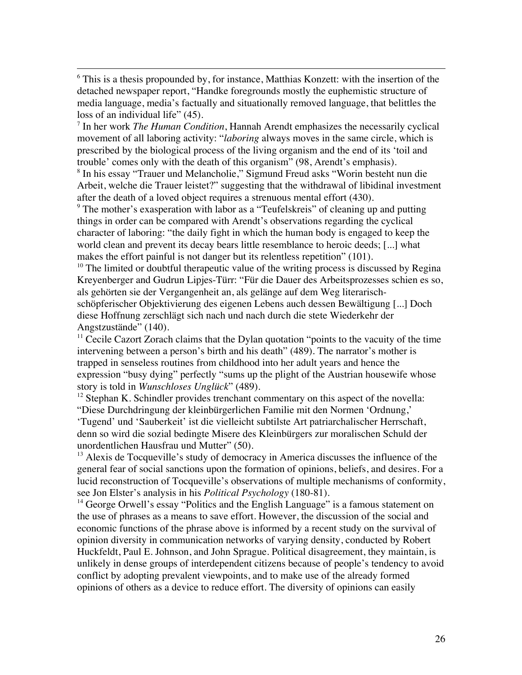$6$  This is a thesis propounded by, for instance, Matthias Konzett: with the insertion of the detached newspaper report, "Handke foregrounds mostly the euphemistic structure of media language, media's factually and situationally removed language, that belittles the loss of an individual life" (45).

<sup>7</sup> In her work *The Human Condition*, Hannah Arendt emphasizes the necessarily cyclical movement of all laboring activity: "*laboring* always moves in the same circle, which is prescribed by the biological process of the living organism and the end of its 'toil and trouble' comes only with the death of this organism" (98, Arendt's emphasis).

<sup>8</sup> In his essay "Trauer und Melancholie," Sigmund Freud asks "Worin besteht nun die Arbeit, welche die Trauer leistet?" suggesting that the withdrawal of libidinal investment after the death of a loved object requires a strenuous mental effort (430).

<sup>9</sup> The mother's exasperation with labor as a "Teufelskreis" of cleaning up and putting things in order can be compared with Arendt's observations regarding the cyclical character of laboring: "the daily fight in which the human body is engaged to keep the world clean and prevent its decay bears little resemblance to heroic deeds; [...] what makes the effort painful is not danger but its relentless repetition" (101).

 $10$  The limited or doubtful therapeutic value of the writing process is discussed by Regina Kreyenberger and Gudrun Lipjes-Türr: "Für die Dauer des Arbeitsprozesses schien es so, als gehörten sie der Vergangenheit an, als gelänge auf dem Weg literarischschöpferischer Objektivierung des eigenen Lebens auch dessen Bewältigung [...] Doch diese Hoffnung zerschlägt sich nach und nach durch die stete Wiederkehr der Angstzustände" (140).

 $11$  Cecile Cazort Zorach claims that the Dylan quotation "points to the vacuity of the time intervening between a person's birth and his death" (489). The narrator's mother is trapped in senseless routines from childhood into her adult years and hence the expression "busy dying" perfectly "sums up the plight of the Austrian housewife whose story is told in *Wunschloses Unglück*" (489).

 $12$  Stephan K. Schindler provides trenchant commentary on this aspect of the novella: "Diese Durchdringung der kleinbürgerlichen Familie mit den Normen 'Ordnung,' 'Tugend' und 'Sauberkeit' ist die vielleicht subtilste Art patriarchalischer Herrschaft, denn so wird die sozial bedingte Misere des Kleinbürgers zur moralischen Schuld der unordentlichen Hausfrau und Mutter" (50).

 $<sup>13</sup>$  Alexis de Tocqueville's study of democracy in America discusses the influence of the</sup> general fear of social sanctions upon the formation of opinions, beliefs, and desires. For a lucid reconstruction of Tocqueville's observations of multiple mechanisms of conformity, see Jon Elster's analysis in his *Political Psychology* (180-81).

 $14$  George Orwell's essay "Politics and the English Language" is a famous statement on the use of phrases as a means to save effort. However, the discussion of the social and economic functions of the phrase above is informed by a recent study on the survival of opinion diversity in communication networks of varying density, conducted by Robert Huckfeldt, Paul E. Johnson, and John Sprague. Political disagreement, they maintain, is unlikely in dense groups of interdependent citizens because of people's tendency to avoid conflict by adopting prevalent viewpoints, and to make use of the already formed opinions of others as a device to reduce effort. The diversity of opinions can easily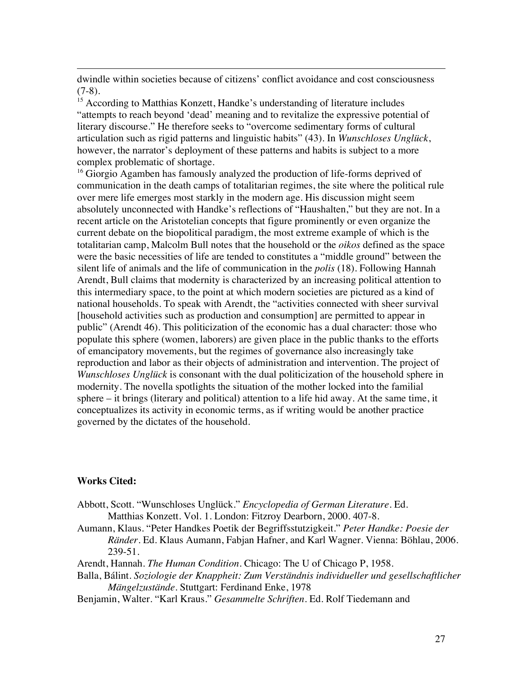dwindle within societies because of citizens' conflict avoidance and cost consciousness  $(7-8)$ .<br><sup>15</sup> According to Matthias Konzett, Handke's understanding of literature includes

"attempts to reach beyond 'dead' meaning and to revitalize the expressive potential of literary discourse." He therefore seeks to "overcome sedimentary forms of cultural articulation such as rigid patterns and linguistic habits" (43). In *Wunschloses Unglück*, however, the narrator's deployment of these patterns and habits is subject to a more complex problematic of shortage.

 $16$  Giorgio Agamben has famously analyzed the production of life-forms deprived of communication in the death camps of totalitarian regimes, the site where the political rule over mere life emerges most starkly in the modern age. His discussion might seem absolutely unconnected with Handke's reflections of "Haushalten," but they are not. In a recent article on the Aristotelian concepts that figure prominently or even organize the current debate on the biopolitical paradigm, the most extreme example of which is the totalitarian camp, Malcolm Bull notes that the household or the *oikos* defined as the space were the basic necessities of life are tended to constitutes a "middle ground" between the silent life of animals and the life of communication in the *polis* (18). Following Hannah Arendt, Bull claims that modernity is characterized by an increasing political attention to this intermediary space, to the point at which modern societies are pictured as a kind of national households. To speak with Arendt, the "activities connected with sheer survival [household activities such as production and consumption] are permitted to appear in public" (Arendt 46). This politicization of the economic has a dual character: those who populate this sphere (women, laborers) are given place in the public thanks to the efforts of emancipatory movements, but the regimes of governance also increasingly take reproduction and labor as their objects of administration and intervention. The project of *Wunschloses Unglück* is consonant with the dual politicization of the household sphere in modernity. The novella spotlights the situation of the mother locked into the familial sphere – it brings (literary and political) attention to a life hid away. At the same time, it conceptualizes its activity in economic terms, as if writing would be another practice governed by the dictates of the household.

# **Works Cited:**

 $\overline{a}$ 

- Abbott, Scott. "Wunschloses Unglück." *Encyclopedia of German Literature*. Ed. Matthias Konzett. Vol. 1. London: Fitzroy Dearborn, 2000. 407-8.
- Aumann, Klaus. "Peter Handkes Poetik der Begriffsstutzigkeit." *Peter Handke: Poesie der Ränder*. Ed. Klaus Aumann, Fabjan Hafner, and Karl Wagner. Vienna: Böhlau, 2006. 239-51.
- Arendt, Hannah. *The Human Condition*. Chicago: The U of Chicago P, 1958.
- Balla, Bálint. *Soziologie der Knappheit: Zum Verständnis individueller und gesellschaftlicher Mängelzustände*. Stuttgart: Ferdinand Enke, 1978
- Benjamin, Walter. "Karl Kraus." *Gesammelte Schriften*. Ed. Rolf Tiedemann and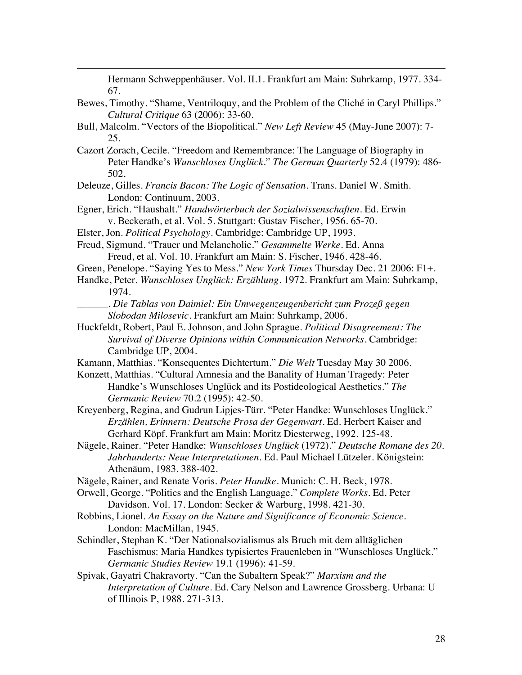Hermann Schweppenhäuser. Vol. II.1. Frankfurt am Main: Suhrkamp, 1977. 334- 67.

- Bewes, Timothy. "Shame, Ventriloquy, and the Problem of the Cliché in Caryl Phillips." *Cultural Critique* 63 (2006): 33-60.
- Bull, Malcolm. "Vectors of the Biopolitical." *New Left Review* 45 (May-June 2007): 7- 25.
- Cazort Zorach, Cecile. "Freedom and Remembrance: The Language of Biography in Peter Handke's *Wunschloses Unglück*." *The German Quarterly* 52.4 (1979): 486- 502.
- Deleuze, Gilles. *Francis Bacon: The Logic of Sensation*. Trans. Daniel W. Smith. London: Continuum, 2003.
- Egner, Erich. "Haushalt." *Handwörterbuch der Sozialwissenschaften*. Ed. Erwin v. Beckerath, et al. Vol. 5. Stuttgart: Gustav Fischer, 1956. 65-70.
- Elster, Jon. *Political Psychology*. Cambridge: Cambridge UP, 1993.

 $\overline{a}$ 

- Freud, Sigmund. "Trauer und Melancholie." *Gesammelte Werke*. Ed. Anna Freud, et al. Vol. 10. Frankfurt am Main: S. Fischer, 1946. 428-46.
- Green, Penelope. "Saying Yes to Mess." *New York Times* Thursday Dec. 21 2006: F1+.
- Handke, Peter. *Wunschloses Unglück: Erzählung*. 1972. Frankfurt am Main: Suhrkamp, 1974.
	- \_\_\_\_\_\_. *Die Tablas von Daimiel: Ein Umwegenzeugenbericht zum Prozeß gegen Slobodan Milosevic*. Frankfurt am Main: Suhrkamp, 2006.
- Huckfeldt, Robert, Paul E. Johnson, and John Sprague. *Political Disagreement: The Survival of Diverse Opinions within Communication Networks*. Cambridge: Cambridge UP, 2004.
- Kamann, Matthias. "Konsequentes Dichtertum." *Die Welt* Tuesday May 30 2006.
- Konzett, Matthias. "Cultural Amnesia and the Banality of Human Tragedy: Peter Handke's Wunschloses Unglück and its Postideological Aesthetics." *The Germanic Review* 70.2 (1995): 42-50.
- Kreyenberg, Regina, and Gudrun Lipjes-Türr. "Peter Handke: Wunschloses Unglück." *Erzählen, Erinnern: Deutsche Prosa der Gegenwart*. Ed. Herbert Kaiser and Gerhard Köpf. Frankfurt am Main: Moritz Diesterweg, 1992. 125-48.
- Nägele, Rainer. "Peter Handke: *Wunschloses Unglück* (1972)." *Deutsche Romane des 20. Jahrhunderts: Neue Interpretationen*. Ed. Paul Michael Lützeler. Königstein: Athenäum, 1983. 388-402.
- Nägele, Rainer, and Renate Voris. *Peter Handke*. Munich: C. H. Beck, 1978.
- Orwell, George. "Politics and the English Language." *Complete Works*. Ed. Peter Davidson. Vol. 17. London: Secker & Warburg, 1998. 421-30.
- Robbins, Lionel. *An Essay on the Nature and Significance of Economic Science*. London: MacMillan, 1945.
- Schindler, Stephan K. "Der Nationalsozialismus als Bruch mit dem alltäglichen Faschismus: Maria Handkes typisiertes Frauenleben in "Wunschloses Unglück." *Germanic Studies Review* 19.1 (1996): 41-59.
- Spivak, Gayatri Chakravorty. "Can the Subaltern Speak?" *Marxism and the Interpretation of Culture*. Ed. Cary Nelson and Lawrence Grossberg. Urbana: U of Illinois P, 1988. 271-313.